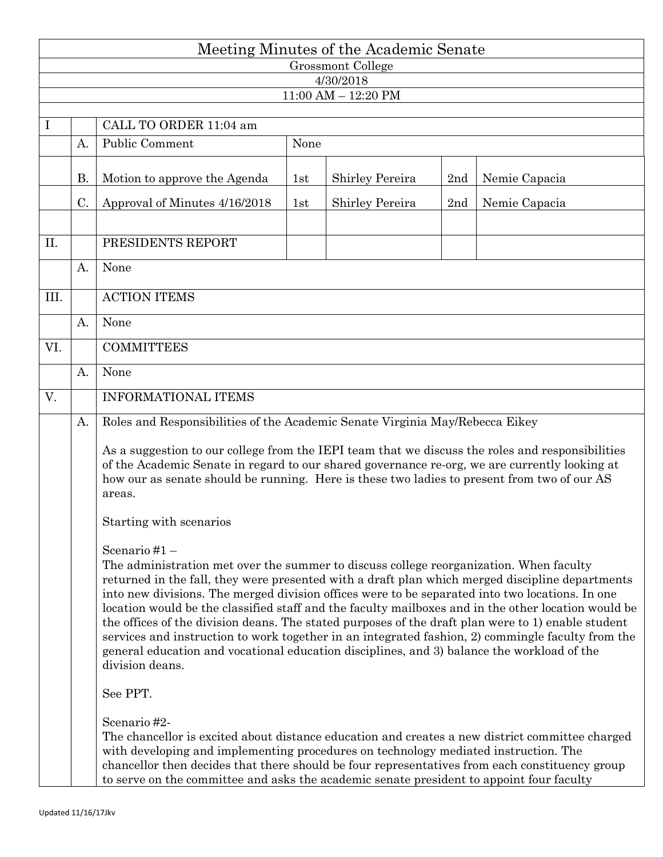| Meeting Minutes of the Academic Senate |           |                                                                                                                                                                                                                                                                                                                                                                                                                                                                                                                                                                                                                                                                                                                                                    |      |                         |     |               |  |  |  |  |  |  |  |  |  |
|----------------------------------------|-----------|----------------------------------------------------------------------------------------------------------------------------------------------------------------------------------------------------------------------------------------------------------------------------------------------------------------------------------------------------------------------------------------------------------------------------------------------------------------------------------------------------------------------------------------------------------------------------------------------------------------------------------------------------------------------------------------------------------------------------------------------------|------|-------------------------|-----|---------------|--|--|--|--|--|--|--|--|--|
| Grossmont College                      |           |                                                                                                                                                                                                                                                                                                                                                                                                                                                                                                                                                                                                                                                                                                                                                    |      |                         |     |               |  |  |  |  |  |  |  |  |  |
| 4/30/2018                              |           |                                                                                                                                                                                                                                                                                                                                                                                                                                                                                                                                                                                                                                                                                                                                                    |      |                         |     |               |  |  |  |  |  |  |  |  |  |
|                                        |           |                                                                                                                                                                                                                                                                                                                                                                                                                                                                                                                                                                                                                                                                                                                                                    |      | $11:00$ AM $- 12:20$ PM |     |               |  |  |  |  |  |  |  |  |  |
| $\bf{I}$                               |           | CALL TO ORDER 11:04 am                                                                                                                                                                                                                                                                                                                                                                                                                                                                                                                                                                                                                                                                                                                             |      |                         |     |               |  |  |  |  |  |  |  |  |  |
|                                        | А.        | Public Comment                                                                                                                                                                                                                                                                                                                                                                                                                                                                                                                                                                                                                                                                                                                                     | None |                         |     |               |  |  |  |  |  |  |  |  |  |
|                                        | <b>B.</b> | Motion to approve the Agenda                                                                                                                                                                                                                                                                                                                                                                                                                                                                                                                                                                                                                                                                                                                       | 1st  | Shirley Pereira         | 2nd | Nemie Capacia |  |  |  |  |  |  |  |  |  |
|                                        | C.        | Approval of Minutes 4/16/2018                                                                                                                                                                                                                                                                                                                                                                                                                                                                                                                                                                                                                                                                                                                      | 1st  | Shirley Pereira         | 2nd | Nemie Capacia |  |  |  |  |  |  |  |  |  |
|                                        |           |                                                                                                                                                                                                                                                                                                                                                                                                                                                                                                                                                                                                                                                                                                                                                    |      |                         |     |               |  |  |  |  |  |  |  |  |  |
| II.                                    |           | PRESIDENTS REPORT                                                                                                                                                                                                                                                                                                                                                                                                                                                                                                                                                                                                                                                                                                                                  |      |                         |     |               |  |  |  |  |  |  |  |  |  |
|                                        | A.        | None                                                                                                                                                                                                                                                                                                                                                                                                                                                                                                                                                                                                                                                                                                                                               |      |                         |     |               |  |  |  |  |  |  |  |  |  |
| III.                                   |           | <b>ACTION ITEMS</b>                                                                                                                                                                                                                                                                                                                                                                                                                                                                                                                                                                                                                                                                                                                                |      |                         |     |               |  |  |  |  |  |  |  |  |  |
|                                        | A.        | None                                                                                                                                                                                                                                                                                                                                                                                                                                                                                                                                                                                                                                                                                                                                               |      |                         |     |               |  |  |  |  |  |  |  |  |  |
| VI.                                    |           | <b>COMMITTEES</b>                                                                                                                                                                                                                                                                                                                                                                                                                                                                                                                                                                                                                                                                                                                                  |      |                         |     |               |  |  |  |  |  |  |  |  |  |
|                                        | A.        | None                                                                                                                                                                                                                                                                                                                                                                                                                                                                                                                                                                                                                                                                                                                                               |      |                         |     |               |  |  |  |  |  |  |  |  |  |
| V.                                     |           | <b>INFORMATIONAL ITEMS</b>                                                                                                                                                                                                                                                                                                                                                                                                                                                                                                                                                                                                                                                                                                                         |      |                         |     |               |  |  |  |  |  |  |  |  |  |
|                                        | A.        | Roles and Responsibilities of the Academic Senate Virginia May/Rebecca Eikey                                                                                                                                                                                                                                                                                                                                                                                                                                                                                                                                                                                                                                                                       |      |                         |     |               |  |  |  |  |  |  |  |  |  |
|                                        |           | As a suggestion to our college from the IEPI team that we discuss the roles and responsibilities<br>of the Academic Senate in regard to our shared governance re-org, we are currently looking at<br>how our as senate should be running. Here is these two ladies to present from two of our AS<br>areas.                                                                                                                                                                                                                                                                                                                                                                                                                                         |      |                         |     |               |  |  |  |  |  |  |  |  |  |
|                                        |           | Starting with scenarios                                                                                                                                                                                                                                                                                                                                                                                                                                                                                                                                                                                                                                                                                                                            |      |                         |     |               |  |  |  |  |  |  |  |  |  |
|                                        |           | Scenario #1 $-$<br>The administration met over the summer to discuss college reorganization. When faculty<br>returned in the fall, they were presented with a draft plan which merged discipline departments<br>into new divisions. The merged division offices were to be separated into two locations. In one<br>location would be the classified staff and the faculty mailboxes and in the other location would be<br>the offices of the division deans. The stated purposes of the draft plan were to 1) enable student<br>services and instruction to work together in an integrated fashion, 2) commingle faculty from the<br>general education and vocational education disciplines, and 3) balance the workload of the<br>division deans. |      |                         |     |               |  |  |  |  |  |  |  |  |  |
|                                        |           | See PPT.                                                                                                                                                                                                                                                                                                                                                                                                                                                                                                                                                                                                                                                                                                                                           |      |                         |     |               |  |  |  |  |  |  |  |  |  |
|                                        |           | Scenario#2-<br>The chancellor is excited about distance education and creates a new district committee charged<br>with developing and implementing procedures on technology mediated instruction. The<br>chancellor then decides that there should be four representatives from each constituency group<br>to serve on the committee and asks the academic senate president to appoint four faculty                                                                                                                                                                                                                                                                                                                                                |      |                         |     |               |  |  |  |  |  |  |  |  |  |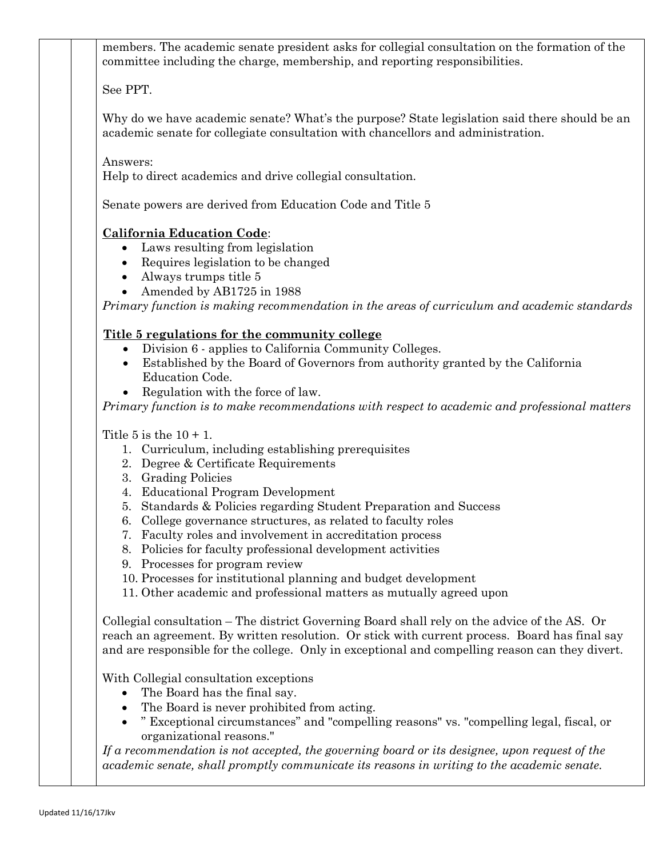members. The academic senate president asks for collegial consultation on the formation of the committee including the charge, membership, and reporting responsibilities.

See PPT.

Why do we have academic senate? What's the purpose? State legislation said there should be an academic senate for collegiate consultation with chancellors and administration.

Answers:

Help to direct academics and drive collegial consultation.

Senate powers are derived from Education Code and Title 5

## **California Education Code**:

- Laws resulting from legislation
- Requires legislation to be changed
- Always trumps title 5
- Amended by AB1725 in 1988

*Primary function is making recommendation in the areas of curriculum and academic standards*

## **Title 5 regulations for the community college**

- Division 6 applies to California Community Colleges.
- Established by the Board of Governors from authority granted by the California Education Code.
- Regulation with the force of law.

*Primary function is to make recommendations with respect to academic and professional matters*

Title 5 is the  $10 + 1$ .

- 1. Curriculum, including establishing prerequisites
- 2. Degree & Certificate Requirements
- 3. Grading Policies
- 4. Educational Program Development
- 5. Standards & Policies regarding Student Preparation and Success
- 6. College governance structures, as related to faculty roles
- 7. Faculty roles and involvement in accreditation process
- 8. Policies for faculty professional development activities
- 9. Processes for program review
- 10. Processes for institutional planning and budget development
- 11. Other academic and professional matters as mutually agreed upon

Collegial consultation – The district Governing Board shall rely on the advice of the AS. Or reach an agreement. By written resolution. Or stick with current process. Board has final say and are responsible for the college. Only in exceptional and compelling reason can they divert.

With Collegial consultation exceptions

- The Board has the final say.
- The Board is never prohibited from acting.
- " Exceptional circumstances" and "compelling reasons" vs. "compelling legal, fiscal, or organizational reasons."

*If a recommendation is not accepted, the governing board or its designee, upon request of the academic senate, shall promptly communicate its reasons in writing to the academic senate.*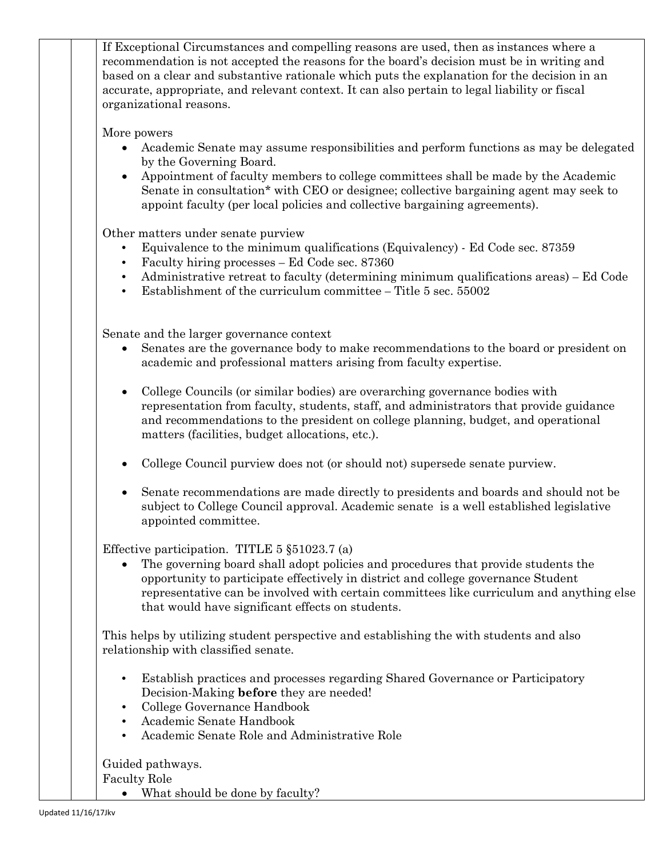If Exceptional Circumstances and compelling reasons are used, then as instances where a recommendation is not accepted the reasons for the board's decision must be in writing and based on a clear and substantive rationale which puts the explanation for the decision in an accurate, appropriate, and relevant context. It can also pertain to legal liability or fiscal organizational reasons.

More powers

- Academic Senate may assume responsibilities and perform functions as may be delegated by the Governing Board.
- Appointment of faculty members to college committees shall be made by the Academic Senate in consultation\* with CEO or designee; collective bargaining agent may seek to appoint faculty (per local policies and collective bargaining agreements).

Other matters under senate purview

- Equivalence to the minimum qualifications (Equivalency) Ed Code sec. 87359
- Faculty hiring processes Ed Code sec. 87360
- Administrative retreat to faculty (determining minimum qualifications areas) Ed Code
- Establishment of the curriculum committee Title 5 sec. 55002

Senate and the larger governance context

- Senates are the governance body to make recommendations to the board or president on academic and professional matters arising from faculty expertise.
- College Councils (or similar bodies) are overarching governance bodies with representation from faculty, students, staff, and administrators that provide guidance and recommendations to the president on college planning, budget, and operational matters (facilities, budget allocations, etc.).
- College Council purview does not (or should not) supersede senate purview.
- Senate recommendations are made directly to presidents and boards and should not be subject to College Council approval. Academic senate is a well established legislative appointed committee.

Effective participation. TITLE 5 §51023.7 (a)

• The governing board shall adopt policies and procedures that provide students the opportunity to participate effectively in district and college governance Student representative can be involved with certain committees like curriculum and anything else that would have significant effects on students.

This helps by utilizing student perspective and establishing the with students and also relationship with classified senate.

- Establish practices and processes regarding Shared Governance or Participatory Decision-Making **before** they are needed!
- College Governance Handbook
- Academic Senate Handbook
- Academic Senate Role and Administrative Role

Guided pathways. Faculty Role

• What should be done by faculty?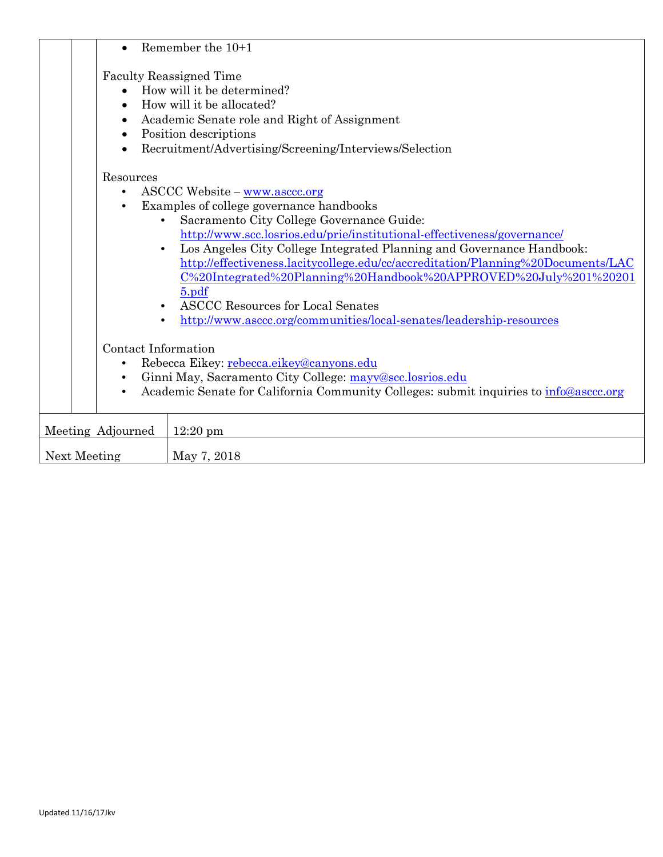|                                     |                                                                                                                                                                                                                      | Remember the 10+1                                                                                                                                                                                                                                                                                                                                                                                                                                                                                                                                                   |  |  |  |  |  |
|-------------------------------------|----------------------------------------------------------------------------------------------------------------------------------------------------------------------------------------------------------------------|---------------------------------------------------------------------------------------------------------------------------------------------------------------------------------------------------------------------------------------------------------------------------------------------------------------------------------------------------------------------------------------------------------------------------------------------------------------------------------------------------------------------------------------------------------------------|--|--|--|--|--|
| $\bullet$                           |                                                                                                                                                                                                                      | <b>Faculty Reassigned Time</b><br>How will it be determined?<br>How will it be allocated?<br>Academic Senate role and Right of Assignment<br>Position descriptions<br>Recruitment/Advertising/Screening/Interviews/Selection                                                                                                                                                                                                                                                                                                                                        |  |  |  |  |  |
| Resources<br>$\bullet$<br>$\bullet$ | $\bullet$<br>$\bullet$                                                                                                                                                                                               | $ASCCC$ Website – www.asccc.org<br>Examples of college governance handbooks<br>Sacramento City College Governance Guide:<br>http://www.scc.losrios.edu/prie/institutional-effectiveness/governance/<br>Los Angeles City College Integrated Planning and Governance Handbook:<br>http://effectiveness.lacitycollege.edu/cc/accreditation/Planning%20Documents/LAC<br>C%20Integrated%20Planning%20Handbook%20APPROVED%20July%201%20201<br>$5.$ pdf<br><b>ASCCC Resources for Local Senates</b><br>http://www.asccc.org/communities/local-senates/leadership-resources |  |  |  |  |  |
| $\bullet$<br>$\bullet$<br>$\bullet$ | Contact Information<br>Rebecca Eikey: rebecca.eikey@canyons.edu<br>Ginni May, Sacramento City College: mayv@scc.losrios.edu<br>Academic Senate for California Community Colleges: submit inquiries to info@asccc.org |                                                                                                                                                                                                                                                                                                                                                                                                                                                                                                                                                                     |  |  |  |  |  |
| Meeting Adjourned                   |                                                                                                                                                                                                                      | $12:20 \text{ pm}$                                                                                                                                                                                                                                                                                                                                                                                                                                                                                                                                                  |  |  |  |  |  |
| Next Meeting                        |                                                                                                                                                                                                                      | May 7, 2018                                                                                                                                                                                                                                                                                                                                                                                                                                                                                                                                                         |  |  |  |  |  |